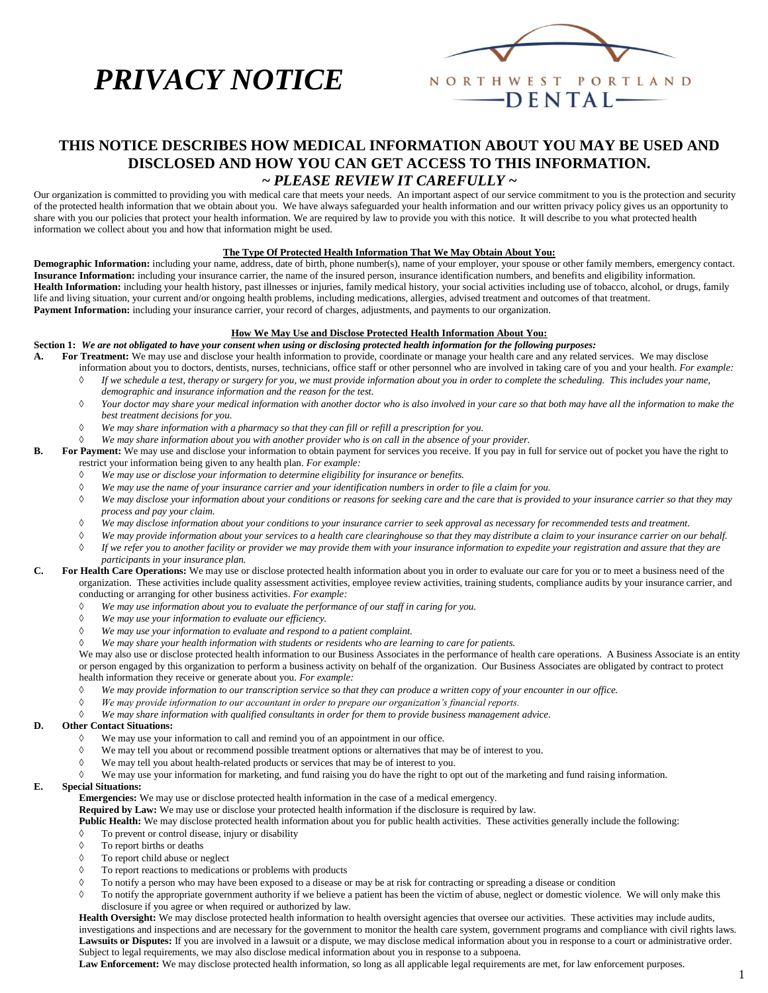# *PRIVACY NOTICE*



## **THIS NOTICE DESCRIBES HOW MEDICAL INFORMATION ABOUT YOU MAY BE USED AND DISCLOSED AND HOW YOU CAN GET ACCESS TO THIS INFORMATION. ~** *PLEASE REVIEW IT CAREFULLY* **~**

Our organization is committed to providing you with medical care that meets your needs. An important aspect of our service commitment to you is the protection and security of the protected health information that we obtain about you. We have always safeguarded your health information and our written privacy policy gives us an opportunity to share with you our policies that protect your health information. We are required by law to provide you with this notice. It will describe to you what protected health information we collect about you and how that information might be used.

## **The Type Of Protected Health Information That We May Obtain About You:**

**Demographic Information:** including your name, address, date of birth, phone number(s), name of your employer, your spouse or other family members, emergency contact. **Insurance Information:** including your insurance carrier, the name of the insured person, insurance identification numbers, and benefits and eligibility information. **Health Information:** including your health history, past illnesses or injuries, family medical history, your social activities including use of tobacco, alcohol, or drugs, family life and living situation, your current and/or ongoing health problems, including medications, allergies, advised treatment and outcomes of that treatment. Payment Information: including your insurance carrier, your record of charges, adjustments, and payments to our organization.

## **How We May Use and Disclose Protected Health Information About You:**

**Section 1:** *We are not obligated to have your consent when using or disclosing protected health information for the following purposes:*

- **A. For Treatment:** We may use and disclose your health information to provide, coordinate or manage your health care and any related services. We may disclose information about you to doctors, dentists, nurses, technicians, office staff or other personnel who are involved in taking care of you and your health. *For example: If we schedule a test, therapy or surgery for you, we must provide information about you in order to complete the scheduling. This includes your name,* 
	- *demographic and insurance information and the reason for the test.*
	- *Your doctor may share your medical information with another doctor who is also involved in your care so that both may have all the information to make the best treatment decisions for you.*
	- *We may share information with a pharmacy so that they can fill or refill a prescription for you.*
	- *We may share information about you with another provider who is on call in the absence of your provider.*
- **B. For Payment:** We may use and disclose your information to obtain payment for services you receive. If you pay in full for service out of pocket you have the right to restrict your information being given to any health plan. *For example:*
	- *We may use or disclose your information to determine eligibility for insurance or benefits.*
	- *We may use the name of your insurance carrier and your identification numbers in order to file a claim for you.*
	- *We may disclose your information about your conditions or reasons for seeking care and the care that is provided to your insurance carrier so that they may process and pay your claim.*
	- *We may disclose information about your conditions to your insurance carrier to seek approval as necessary for recommended tests and treatment.*
	- *We may provide information about your services to a health care clearinghouse so that they may distribute a claim to your insurance carrier on our behalf. If we refer you to another facility or provider we may provide them with your insurance information to expedite your registration and assure that they are participants in your insurance plan.*
- **C. For Health Care Operations:** We may use or disclose protected health information about you in order to evaluate our care for you or to meet a business need of the organization. These activities include quality assessment activities, employee review activities, training students, compliance audits by your insurance carrier, and conducting or arranging for other business activities. *For example:*
	- *We may use information about you to evaluate the performance of our staff in caring for you.*
	- *We may use your information to evaluate our efficiency.*
	- *We may use your information to evaluate and respond to a patient complaint.*
	- *We may share your health information with students or residents who are learning to care for patients.*

We may also use or disclose protected health information to our Business Associates in the performance of health care operations. A Business Associate is an entity or person engaged by this organization to perform a business activity on behalf of the organization. Our Business Associates are obligated by contract to protect health information they receive or generate about you. *For example:*

- *We may provide information to our transcription service so that they can produce a written copy of your encounter in our office.*
- *We may provide information to our accountant in order to prepare our organization's financial reports.*
- *We may share information with qualified consultants in order for them to provide business management advice.*

## **D. Other Contact Situations:**

- We may use your information to call and remind you of an appointment in our office.
- We may tell you about or recommend possible treatment options or alternatives that may be of interest to you.
- We may tell you about health-related products or services that may be of interest to you.
	- We may use your information for marketing, and fund raising you do have the right to opt out of the marketing and fund raising information.

## **E. Special Situations:**

**Emergencies:** We may use or disclose protected health information in the case of a medical emergency.

**Required by Law:** We may use or disclose your protected health information if the disclosure is required by law.

Public Health: We may disclose protected health information about you for public health activities. These activities generally include the following:

- To prevent or control disease, injury or disability
- $\Diamond$  To report births or deaths
- To report child abuse or neglect
- $\Diamond$  To report reactions to medications or problems with products
- To notify a person who may have been exposed to a disease or may be at risk for contracting or spreading a disease or condition
- To notify the appropriate government authority if we believe a patient has been the victim of abuse, neglect or domestic violence. We will only make this disclosure if you agree or when required or authorized by law.

Health Oversight: We may disclose protected health information to health oversight agencies that oversee our activities. These activities may include audits, investigations and inspections and are necessary for the government to monitor the health care system, government programs and compliance with civil rights laws. Lawsuits or Disputes: If you are involved in a lawsuit or a dispute, we may disclose medical information about you in response to a court or administrative order. Subject to legal requirements, we may also disclose medical information about you in response to a subpoena.

**Law Enforcement:** We may disclose protected health information, so long as all applicable legal requirements are met, for law enforcement purposes.